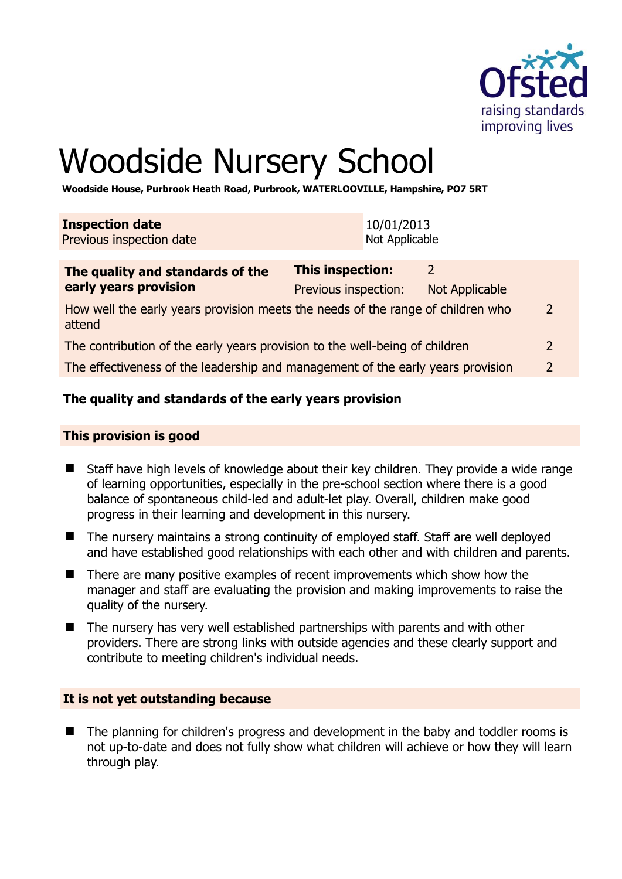

2

# Woodside Nursery School

**Woodside House, Purbrook Heath Road, Purbrook, WATERLOOVILLE, Hampshire, PO7 5RT** 

| <b>Inspection date</b>                                                                    |                         | 10/01/2013     |                       |
|-------------------------------------------------------------------------------------------|-------------------------|----------------|-----------------------|
| Previous inspection date                                                                  |                         | Not Applicable |                       |
| The quality and standards of the                                                          | <b>This inspection:</b> |                | $\mathcal{L}$         |
| early years provision                                                                     | Previous inspection:    |                | <b>Not Applicable</b> |
| How well the early years provision meets the needs of the range of children who<br>attend |                         |                |                       |

The contribution of the early years provision to the well-being of children 2

The effectiveness of the leadership and management of the early years provision 2

# **The quality and standards of the early years provision**

#### **This provision is good**

- Staff have high levels of knowledge about their key children. They provide a wide range of learning opportunities, especially in the pre-school section where there is a good balance of spontaneous child-led and adult-let play. Overall, children make good progress in their learning and development in this nursery.
- The nursery maintains a strong continuity of employed staff. Staff are well deployed and have established good relationships with each other and with children and parents.
- There are many positive examples of recent improvements which show how the manager and staff are evaluating the provision and making improvements to raise the quality of the nursery.
- The nursery has very well established partnerships with parents and with other providers. There are strong links with outside agencies and these clearly support and contribute to meeting children's individual needs.

### **It is not yet outstanding because**

 The planning for children's progress and development in the baby and toddler rooms is not up-to-date and does not fully show what children will achieve or how they will learn through play.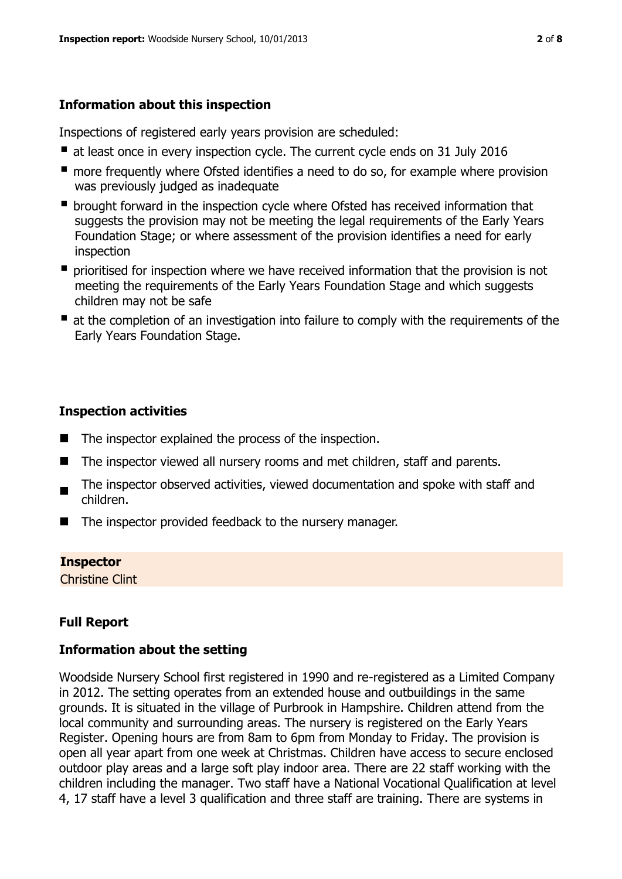# **Information about this inspection**

Inspections of registered early years provision are scheduled:

- at least once in every inspection cycle. The current cycle ends on 31 July 2016
- **n** more frequently where Ofsted identifies a need to do so, for example where provision was previously judged as inadequate
- **•** brought forward in the inspection cycle where Ofsted has received information that suggests the provision may not be meeting the legal requirements of the Early Years Foundation Stage; or where assessment of the provision identifies a need for early inspection
- **P** prioritised for inspection where we have received information that the provision is not meeting the requirements of the Early Years Foundation Stage and which suggests children may not be safe
- at the completion of an investigation into failure to comply with the requirements of the Early Years Foundation Stage.

# **Inspection activities**

- $\blacksquare$  The inspector explained the process of the inspection.
- The inspector viewed all nursery rooms and met children, staff and parents.
- The inspector observed activities, viewed documentation and spoke with staff and children.
- The inspector provided feedback to the nursery manager.

### **Inspector**

Christine Clint

# **Full Report**

# **Information about the setting**

Woodside Nursery School first registered in 1990 and re-registered as a Limited Company in 2012. The setting operates from an extended house and outbuildings in the same grounds. It is situated in the village of Purbrook in Hampshire. Children attend from the local community and surrounding areas. The nursery is registered on the Early Years Register. Opening hours are from 8am to 6pm from Monday to Friday. The provision is open all year apart from one week at Christmas. Children have access to secure enclosed outdoor play areas and a large soft play indoor area. There are 22 staff working with the children including the manager. Two staff have a National Vocational Qualification at level 4, 17 staff have a level 3 qualification and three staff are training. There are systems in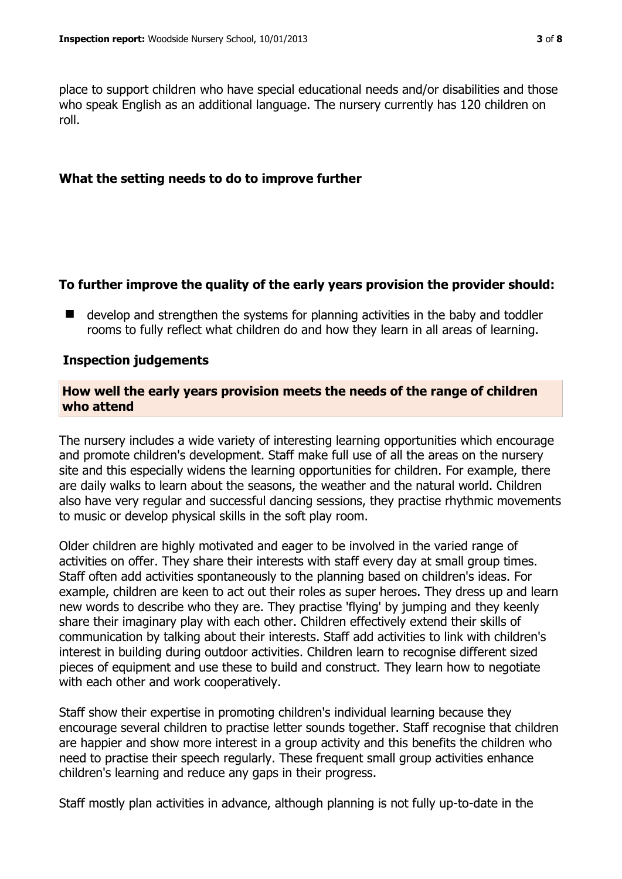place to support children who have special educational needs and/or disabilities and those who speak English as an additional language. The nursery currently has 120 children on roll.

### **What the setting needs to do to improve further**

#### **To further improve the quality of the early years provision the provider should:**

■ develop and strengthen the systems for planning activities in the baby and toddler rooms to fully reflect what children do and how they learn in all areas of learning.

#### **Inspection judgements**

#### **How well the early years provision meets the needs of the range of children who attend**

The nursery includes a wide variety of interesting learning opportunities which encourage and promote children's development. Staff make full use of all the areas on the nursery site and this especially widens the learning opportunities for children. For example, there are daily walks to learn about the seasons, the weather and the natural world. Children also have very regular and successful dancing sessions, they practise rhythmic movements to music or develop physical skills in the soft play room.

Older children are highly motivated and eager to be involved in the varied range of activities on offer. They share their interests with staff every day at small group times. Staff often add activities spontaneously to the planning based on children's ideas. For example, children are keen to act out their roles as super heroes. They dress up and learn new words to describe who they are. They practise 'flying' by jumping and they keenly share their imaginary play with each other. Children effectively extend their skills of communication by talking about their interests. Staff add activities to link with children's interest in building during outdoor activities. Children learn to recognise different sized pieces of equipment and use these to build and construct. They learn how to negotiate with each other and work cooperatively.

Staff show their expertise in promoting children's individual learning because they encourage several children to practise letter sounds together. Staff recognise that children are happier and show more interest in a group activity and this benefits the children who need to practise their speech regularly. These frequent small group activities enhance children's learning and reduce any gaps in their progress.

Staff mostly plan activities in advance, although planning is not fully up-to-date in the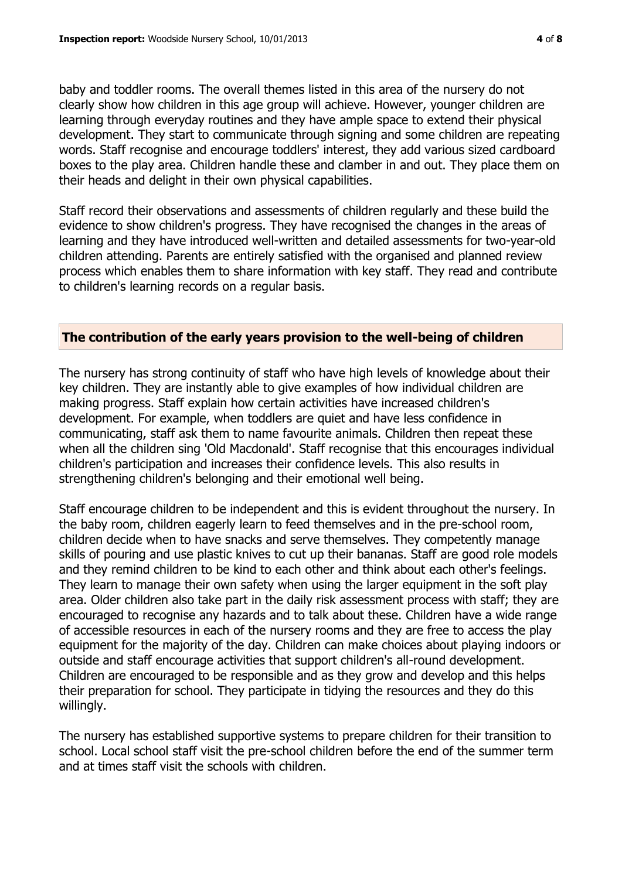baby and toddler rooms. The overall themes listed in this area of the nursery do not clearly show how children in this age group will achieve. However, younger children are learning through everyday routines and they have ample space to extend their physical development. They start to communicate through signing and some children are repeating words. Staff recognise and encourage toddlers' interest, they add various sized cardboard boxes to the play area. Children handle these and clamber in and out. They place them on their heads and delight in their own physical capabilities.

Staff record their observations and assessments of children regularly and these build the evidence to show children's progress. They have recognised the changes in the areas of learning and they have introduced well-written and detailed assessments for two-year-old children attending. Parents are entirely satisfied with the organised and planned review process which enables them to share information with key staff. They read and contribute to children's learning records on a regular basis.

# **The contribution of the early years provision to the well-being of children**

The nursery has strong continuity of staff who have high levels of knowledge about their key children. They are instantly able to give examples of how individual children are making progress. Staff explain how certain activities have increased children's development. For example, when toddlers are quiet and have less confidence in communicating, staff ask them to name favourite animals. Children then repeat these when all the children sing 'Old Macdonald'. Staff recognise that this encourages individual children's participation and increases their confidence levels. This also results in strengthening children's belonging and their emotional well being.

Staff encourage children to be independent and this is evident throughout the nursery. In the baby room, children eagerly learn to feed themselves and in the pre-school room, children decide when to have snacks and serve themselves. They competently manage skills of pouring and use plastic knives to cut up their bananas. Staff are good role models and they remind children to be kind to each other and think about each other's feelings. They learn to manage their own safety when using the larger equipment in the soft play area. Older children also take part in the daily risk assessment process with staff; they are encouraged to recognise any hazards and to talk about these. Children have a wide range of accessible resources in each of the nursery rooms and they are free to access the play equipment for the majority of the day. Children can make choices about playing indoors or outside and staff encourage activities that support children's all-round development. Children are encouraged to be responsible and as they grow and develop and this helps their preparation for school. They participate in tidying the resources and they do this willingly.

The nursery has established supportive systems to prepare children for their transition to school. Local school staff visit the pre-school children before the end of the summer term and at times staff visit the schools with children.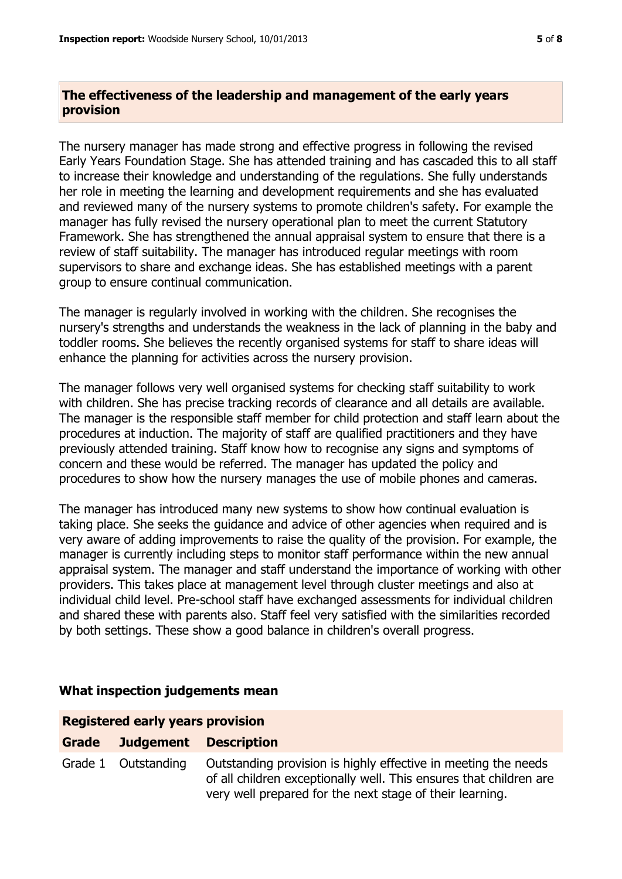# **The effectiveness of the leadership and management of the early years provision**

The nursery manager has made strong and effective progress in following the revised Early Years Foundation Stage. She has attended training and has cascaded this to all staff to increase their knowledge and understanding of the regulations. She fully understands her role in meeting the learning and development requirements and she has evaluated and reviewed many of the nursery systems to promote children's safety. For example the manager has fully revised the nursery operational plan to meet the current Statutory Framework. She has strengthened the annual appraisal system to ensure that there is a review of staff suitability. The manager has introduced regular meetings with room supervisors to share and exchange ideas. She has established meetings with a parent group to ensure continual communication.

The manager is regularly involved in working with the children. She recognises the nursery's strengths and understands the weakness in the lack of planning in the baby and toddler rooms. She believes the recently organised systems for staff to share ideas will enhance the planning for activities across the nursery provision.

The manager follows very well organised systems for checking staff suitability to work with children. She has precise tracking records of clearance and all details are available. The manager is the responsible staff member for child protection and staff learn about the procedures at induction. The majority of staff are qualified practitioners and they have previously attended training. Staff know how to recognise any signs and symptoms of concern and these would be referred. The manager has updated the policy and procedures to show how the nursery manages the use of mobile phones and cameras.

The manager has introduced many new systems to show how continual evaluation is taking place. She seeks the guidance and advice of other agencies when required and is very aware of adding improvements to raise the quality of the provision. For example, the manager is currently including steps to monitor staff performance within the new annual appraisal system. The manager and staff understand the importance of working with other providers. This takes place at management level through cluster meetings and also at individual child level. Pre-school staff have exchanged assessments for individual children and shared these with parents also. Staff feel very satisfied with the similarities recorded by both settings. These show a good balance in children's overall progress.

#### **What inspection judgements mean**

| <b>Registered early years provision</b> |                              |                                                                                                                                                                                                  |  |  |  |
|-----------------------------------------|------------------------------|--------------------------------------------------------------------------------------------------------------------------------------------------------------------------------------------------|--|--|--|
| Grade                                   | <b>Judgement Description</b> |                                                                                                                                                                                                  |  |  |  |
|                                         | Grade 1 Outstanding          | Outstanding provision is highly effective in meeting the needs<br>of all children exceptionally well. This ensures that children are<br>very well prepared for the next stage of their learning. |  |  |  |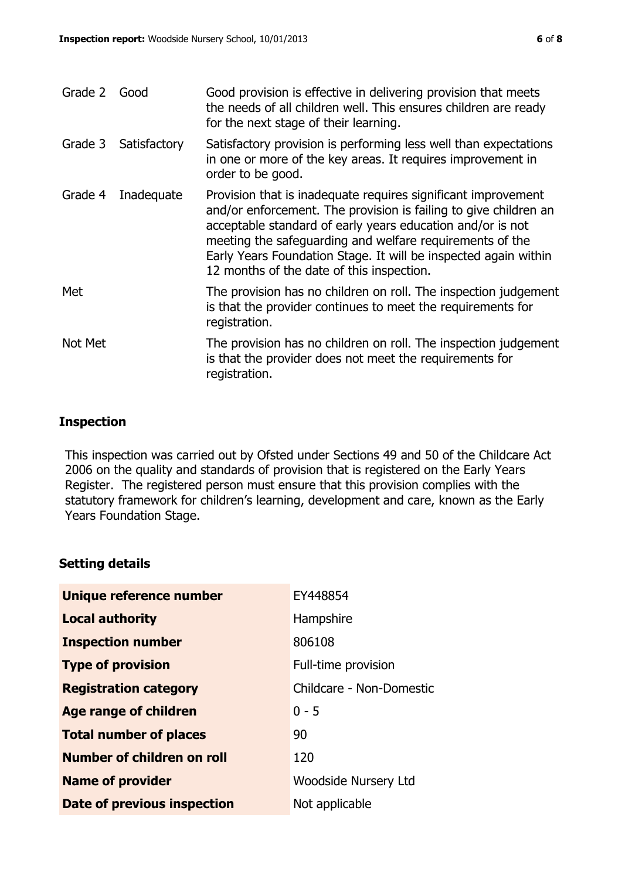| Grade 2 | Good         | Good provision is effective in delivering provision that meets<br>the needs of all children well. This ensures children are ready<br>for the next stage of their learning.                                                                                                                                                                                                  |
|---------|--------------|-----------------------------------------------------------------------------------------------------------------------------------------------------------------------------------------------------------------------------------------------------------------------------------------------------------------------------------------------------------------------------|
| Grade 3 | Satisfactory | Satisfactory provision is performing less well than expectations<br>in one or more of the key areas. It requires improvement in<br>order to be good.                                                                                                                                                                                                                        |
| Grade 4 | Inadequate   | Provision that is inadequate requires significant improvement<br>and/or enforcement. The provision is failing to give children an<br>acceptable standard of early years education and/or is not<br>meeting the safeguarding and welfare requirements of the<br>Early Years Foundation Stage. It will be inspected again within<br>12 months of the date of this inspection. |
| Met     |              | The provision has no children on roll. The inspection judgement<br>is that the provider continues to meet the requirements for<br>registration.                                                                                                                                                                                                                             |
| Not Met |              | The provision has no children on roll. The inspection judgement<br>is that the provider does not meet the requirements for<br>registration.                                                                                                                                                                                                                                 |

# **Inspection**

This inspection was carried out by Ofsted under Sections 49 and 50 of the Childcare Act 2006 on the quality and standards of provision that is registered on the Early Years Register. The registered person must ensure that this provision complies with the statutory framework for children's learning, development and care, known as the Early Years Foundation Stage.

# **Setting details**

| Unique reference number       | EY448854                    |
|-------------------------------|-----------------------------|
| <b>Local authority</b>        | Hampshire                   |
| <b>Inspection number</b>      | 806108                      |
| <b>Type of provision</b>      | Full-time provision         |
| <b>Registration category</b>  | Childcare - Non-Domestic    |
| <b>Age range of children</b>  | $0 - 5$                     |
| <b>Total number of places</b> | 90                          |
| Number of children on roll    | 120                         |
| <b>Name of provider</b>       | <b>Woodside Nursery Ltd</b> |
| Date of previous inspection   | Not applicable              |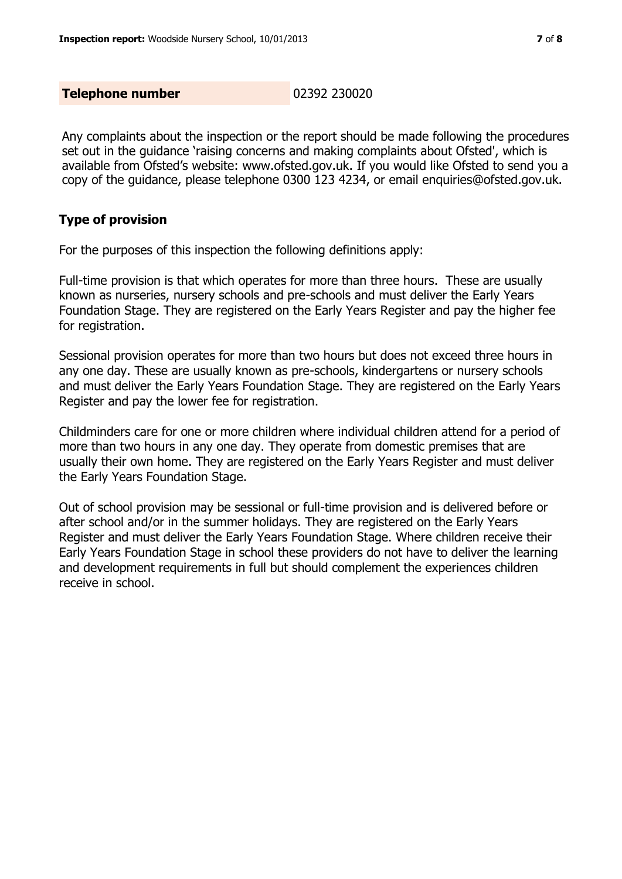#### **Telephone number** 02392 230020

Any complaints about the inspection or the report should be made following the procedures set out in the guidance 'raising concerns and making complaints about Ofsted', which is available from Ofsted's website: www.ofsted.gov.uk. If you would like Ofsted to send you a copy of the guidance, please telephone 0300 123 4234, or email enquiries@ofsted.gov.uk.

# **Type of provision**

For the purposes of this inspection the following definitions apply:

Full-time provision is that which operates for more than three hours. These are usually known as nurseries, nursery schools and pre-schools and must deliver the Early Years Foundation Stage. They are registered on the Early Years Register and pay the higher fee for registration.

Sessional provision operates for more than two hours but does not exceed three hours in any one day. These are usually known as pre-schools, kindergartens or nursery schools and must deliver the Early Years Foundation Stage. They are registered on the Early Years Register and pay the lower fee for registration.

Childminders care for one or more children where individual children attend for a period of more than two hours in any one day. They operate from domestic premises that are usually their own home. They are registered on the Early Years Register and must deliver the Early Years Foundation Stage.

Out of school provision may be sessional or full-time provision and is delivered before or after school and/or in the summer holidays. They are registered on the Early Years Register and must deliver the Early Years Foundation Stage. Where children receive their Early Years Foundation Stage in school these providers do not have to deliver the learning and development requirements in full but should complement the experiences children receive in school.